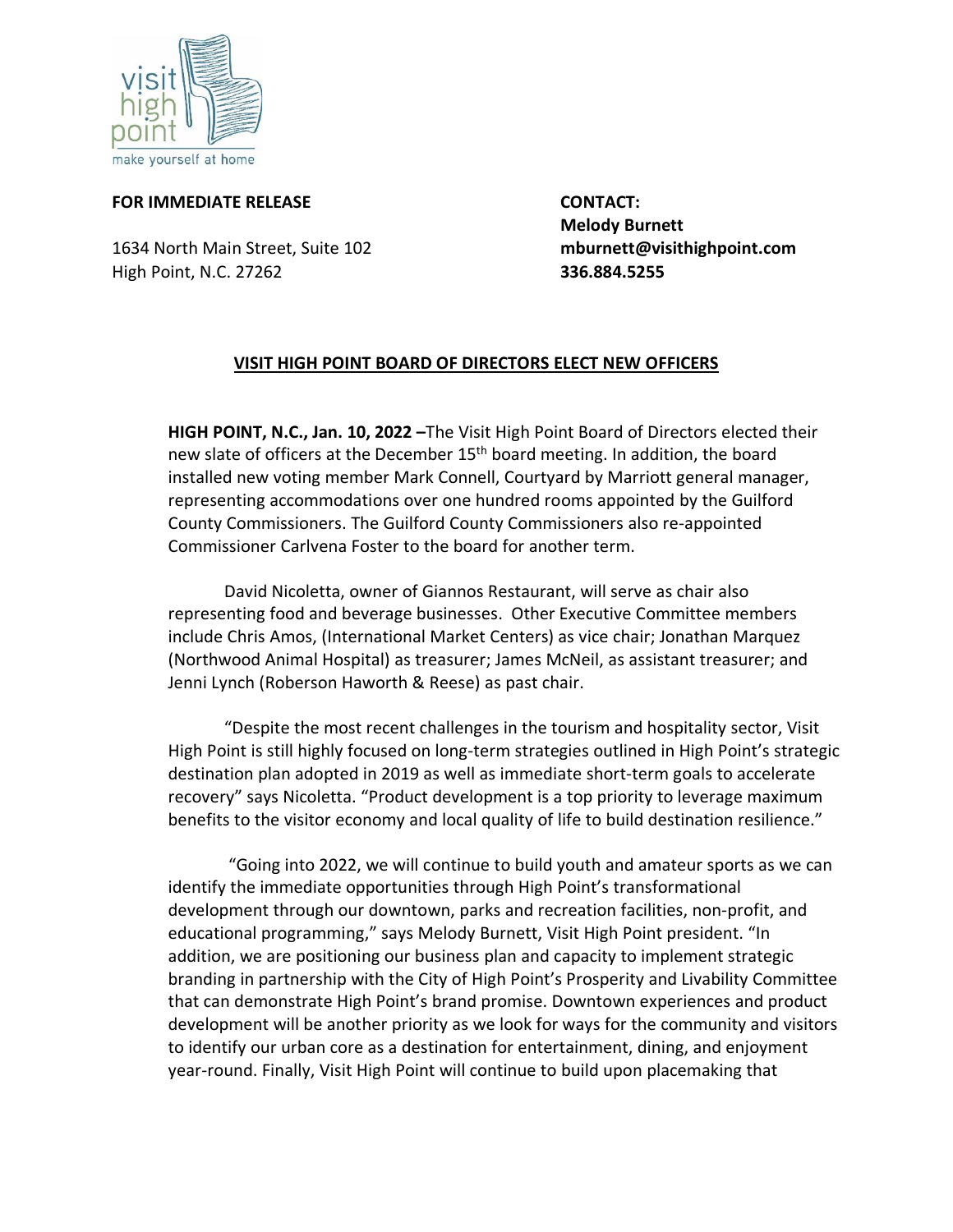

## **FOR IMMEDIATE RELEASE CONTACT:**

1634 North Main Street, Suite 102 **mburnett@visithighpoint.com** High Point, N.C. 27262 **336.884.5255**

 **Melody Burnett**

## **VISIT HIGH POINT BOARD OF DIRECTORS ELECT NEW OFFICERS**

**HIGH POINT, N.C., Jan. 10, 2022 –**The Visit High Point Board of Directors elected their new slate of officers at the December 15<sup>th</sup> board meeting. In addition, the board installed new voting member Mark Connell, Courtyard by Marriott general manager, representing accommodations over one hundred rooms appointed by the Guilford County Commissioners. The Guilford County Commissioners also re-appointed Commissioner Carlvena Foster to the board for another term.

David Nicoletta, owner of Giannos Restaurant, will serve as chair also representing food and beverage businesses. Other Executive Committee members include Chris Amos, (International Market Centers) as vice chair; Jonathan Marquez (Northwood Animal Hospital) as treasurer; James McNeil, as assistant treasurer; and Jenni Lynch (Roberson Haworth & Reese) as past chair.

"Despite the most recent challenges in the tourism and hospitality sector, Visit High Point is still highly focused on long-term strategies outlined in High Point's strategic destination plan adopted in 2019 as well as immediate short-term goals to accelerate recovery" says Nicoletta. "Product development is a top priority to leverage maximum benefits to the visitor economy and local quality of life to build destination resilience."

"Going into 2022, we will continue to build youth and amateur sports as we can identify the immediate opportunities through High Point's transformational development through our downtown, parks and recreation facilities, non-profit, and educational programming," says Melody Burnett, Visit High Point president. "In addition, we are positioning our business plan and capacity to implement strategic branding in partnership with the City of High Point's Prosperity and Livability Committee that can demonstrate High Point's brand promise. Downtown experiences and product development will be another priority as we look for ways for the community and visitors to identify our urban core as a destination for entertainment, dining, and enjoyment year-round. Finally, Visit High Point will continue to build upon placemaking that